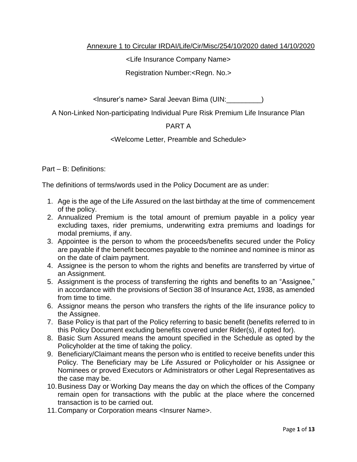## Annexure 1 to Circular IRDAI/Life/Cir/Misc/254/10/2020 dated 14/10/2020

<Life Insurance Company Name>

Registration Number:<Regn. No.>

<Insurer's name> Saral Jeevan Bima (UIN:\_\_\_\_\_\_\_\_\_)

A Non-Linked Non-participating Individual Pure Risk Premium Life Insurance Plan

# PART A

<Welcome Letter, Preamble and Schedule>

Part – B: Definitions:

The definitions of terms/words used in the Policy Document are as under:

- 1. Age is the age of the Life Assured on the last birthday at the time of commencement of the policy.
- 2. Annualized Premium is the total amount of premium payable in a policy year excluding taxes, rider premiums, underwriting extra premiums and loadings for modal premiums, if any.
- 3. Appointee is the person to whom the proceeds/benefits secured under the Policy are payable if the benefit becomes payable to the nominee and nominee is minor as on the date of claim payment.
- 4. Assignee is the person to whom the rights and benefits are transferred by virtue of an Assignment.
- 5. Assignment is the process of transferring the rights and benefits to an "Assignee," in accordance with the provisions of Section 38 of Insurance Act, 1938, as amended from time to time.
- 6. Assignor means the person who transfers the rights of the life insurance policy to the Assignee.
- 7. Base Policy is that part of the Policy referring to basic benefit (benefits referred to in this Policy Document excluding benefits covered under Rider(s), if opted for).
- 8. Basic Sum Assured means the amount specified in the Schedule as opted by the Policyholder at the time of taking the policy.
- 9. Beneficiary/Claimant means the person who is entitled to receive benefits under this Policy. The Beneficiary may be Life Assured or Policyholder or his Assignee or Nominees or proved Executors or Administrators or other Legal Representatives as the case may be.
- 10.Business Day or Working Day means the day on which the offices of the Company remain open for transactions with the public at the place where the concerned transaction is to be carried out.
- 11.Company or Corporation means <Insurer Name>.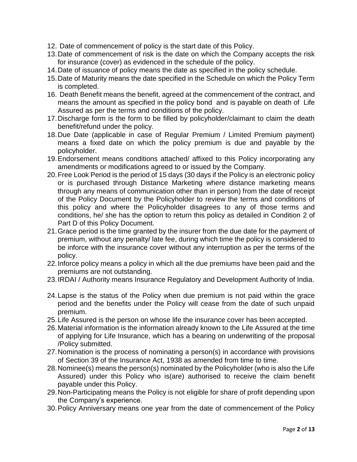- 12. Date of commencement of policy is the start date of this Policy.
- 13.Date of commencement of risk is the date on which the Company accepts the risk for insurance (cover) as evidenced in the schedule of the policy.
- 14.Date of issuance of policy means the date as specified in the policy schedule.
- 15.Date of Maturity means the date specified in the Schedule on which the Policy Term is completed.
- 16. Death Benefit means the benefit, agreed at the commencement of the contract, and means the amount as specified in the policy bond and is payable on death of Life Assured as per the terms and conditions of the policy.
- 17.Discharge form is the form to be filled by policyholder/claimant to claim the death benefit/refund under the policy.
- 18.Due Date (applicable in case of Regular Premium / Limited Premium payment) means a fixed date on which the policy premium is due and payable by the policyholder.
- 19.Endorsement means conditions attached/ affixed to this Policy incorporating any amendments or modifications agreed to or issued by the Company.
- 20.Free Look Period is the period of 15 days (30 days if the Policy is an electronic policy or is purchased through Distance Marketing where distance marketing means through any means of communication other than in person) from the date of receipt of the Policy Document by the Policyholder to review the terms and conditions of this policy and where the Policyholder disagrees to any of those terms and conditions, he/ she has the option to return this policy as detailed in Condition 2 of Part D of this Policy Document.
- 21.Grace period is the time granted by the insurer from the due date for the payment of premium, without any penalty/ late fee, during which time the policy is considered to be inforce with the insurance cover without any interruption as per the terms of the policy.
- 22.Inforce policy means a policy in which all the due premiums have been paid and the premiums are not outstanding.
- 23.IRDAI / Authority means Insurance Regulatory and Development Authority of India.
- 24.Lapse is the status of the Policy when due premium is not paid within the grace period and the benefits under the Policy will cease from the date of such unpaid premium.
- 25.Life Assured is the person on whose life the insurance cover has been accepted.
- 26.Material information is the information already known to the Life Assured at the time of applying for Life Insurance, which has a bearing on underwriting of the proposal /Policy submitted.
- 27.Nomination is the process of nominating a person(s) in accordance with provisions of Section 39 of the Insurance Act, 1938 as amended from time to time.
- 28.Nominee(s) means the person(s) nominated by the Policyholder (who is also the Life Assured) under this Policy who is(are) authorised to receive the claim benefit payable under this Policy.
- 29.Non-Participating means the Policy is not eligible for share of profit depending upon the Company's experience.
- 30.Policy Anniversary means one year from the date of commencement of the Policy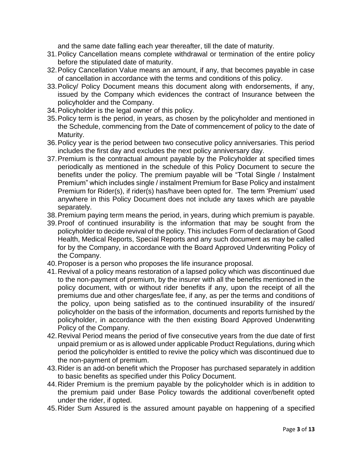and the same date falling each year thereafter, till the date of maturity.

- 31.Policy Cancellation means complete withdrawal or termination of the entire policy before the stipulated date of maturity.
- 32.Policy Cancellation Value means an amount, if any, that becomes payable in case of cancellation in accordance with the terms and conditions of this policy.
- 33.Policy/ Policy Document means this document along with endorsements, if any, issued by the Company which evidences the contract of Insurance between the policyholder and the Company.
- 34.Policyholder is the legal owner of this policy.
- 35.Policy term is the period, in years, as chosen by the policyholder and mentioned in the Schedule, commencing from the Date of commencement of policy to the date of Maturity.
- 36.Policy year is the period between two consecutive policy anniversaries. This period includes the first day and excludes the next policy anniversary day.
- 37.Premium is the contractual amount payable by the Policyholder at specified times periodically as mentioned in the schedule of this Policy Document to secure the benefits under the policy. The premium payable will be "Total Single / Instalment Premium" which includes single / instalment Premium for Base Policy and instalment Premium for Rider(s), if rider(s) has/have been opted for. The term 'Premium' used anywhere in this Policy Document does not include any taxes which are payable separately.
- 38.Premium paying term means the period, in years, during which premium is payable.
- 39.Proof of continued insurability is the information that may be sought from the policyholder to decide revival of the policy. This includes Form of declaration of Good Health, Medical Reports, Special Reports and any such document as may be called for by the Company, in accordance with the Board Approved Underwriting Policy of the Company.
- 40.Proposer is a person who proposes the life insurance proposal.
- 41.Revival of a policy means restoration of a lapsed policy which was discontinued due to the non-payment of premium, by the insurer with all the benefits mentioned in the policy document, with or without rider benefits if any, upon the receipt of all the premiums due and other charges/late fee, if any, as per the terms and conditions of the policy, upon being satisfied as to the continued insurability of the insured/ policyholder on the basis of the information, documents and reports furnished by the policyholder, in accordance with the then existing Board Approved Underwriting Policy of the Company.
- 42.Revival Period means the period of five consecutive years from the due date of first unpaid premium or as is allowed under applicable Product Regulations, during which period the policyholder is entitled to revive the policy which was discontinued due to the non-payment of premium.
- 43.Rider is an add-on benefit which the Proposer has purchased separately in addition to basic benefits as specified under this Policy Document.
- 44.Rider Premium is the premium payable by the policyholder which is in addition to the premium paid under Base Policy towards the additional cover/benefit opted under the rider, if opted.
- 45.Rider Sum Assured is the assured amount payable on happening of a specified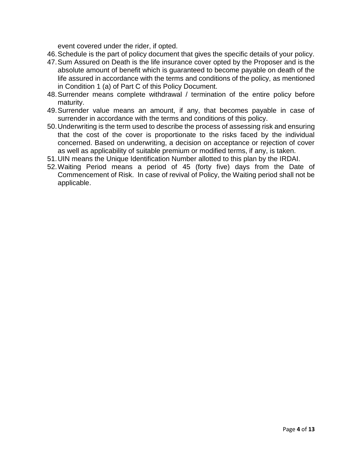event covered under the rider, if opted.

- 46.Schedule is the part of policy document that gives the specific details of your policy.
- 47.Sum Assured on Death is the life insurance cover opted by the Proposer and is the absolute amount of benefit which is guaranteed to become payable on death of the life assured in accordance with the terms and conditions of the policy, as mentioned in Condition 1 (a) of Part C of this Policy Document.
- 48.Surrender means complete withdrawal / termination of the entire policy before maturity.
- 49.Surrender value means an amount, if any, that becomes payable in case of surrender in accordance with the terms and conditions of this policy.
- 50.Underwriting is the term used to describe the process of assessing risk and ensuring that the cost of the cover is proportionate to the risks faced by the individual concerned. Based on underwriting, a decision on acceptance or rejection of cover as well as applicability of suitable premium or modified terms, if any, is taken.
- 51.UIN means the Unique Identification Number allotted to this plan by the IRDAI.
- 52.Waiting Period means a period of 45 (forty five) days from the Date of Commencement of Risk. In case of revival of Policy, the Waiting period shall not be applicable.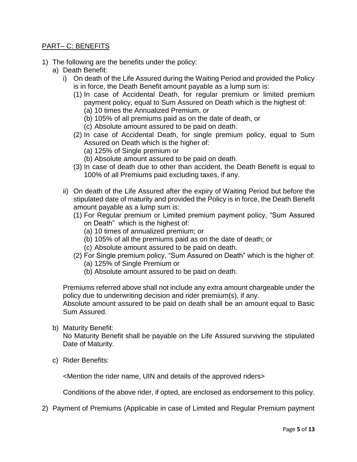### PART– C: BENEFITS

- 1) The following are the benefits under the policy:
	- a) Death Benefit:
		- i) On death of the Life Assured during the Waiting Period and provided the Policy is in force, the Death Benefit amount payable as a lump sum is:
			- (1) In case of Accidental Death, for regular premium or limited premium payment policy, equal to Sum Assured on Death which is the highest of: (a) 10 times the Annualized Premium, or
				- (b) 105% of all premiums paid as on the date of death, or
				- (c) Absolute amount assured to be paid on death.
			- (2) In case of Accidental Death, for single premium policy, equal to Sum Assured on Death which is the higher of:
				- (a) 125% of Single premium or
				- (b) Absolute amount assured to be paid on death.
			- (3) In case of death due to other than accident, the Death Benefit is equal to 100% of all Premiums paid excluding taxes, if any.
		- ii) On death of the Life Assured after the expiry of Waiting Period but before the stipulated date of maturity and provided the Policy is in force, the Death Benefit amount payable as a lump sum is:
			- (1) For Regular premium or Limited premium payment policy, "Sum Assured on Death" which is the highest of:
				- (a) 10 times of annualized premium; or
				- (b) 105% of all the premiums paid as on the date of death; or
				- (c) Absolute amount assured to be paid on death.
			- (2) For Single premium policy, "Sum Assured on Death" which is the higher of: (a) 125% of Single Premium or
				- (b) Absolute amount assured to be paid on death.

Premiums referred above shall not include any extra amount chargeable under the policy due to underwriting decision and rider premium(s), if any.

Absolute amount assured to be paid on death shall be an amount equal to Basic Sum Assured.

b) Maturity Benefit:

No Maturity Benefit shall be payable on the Life Assured surviving the stipulated Date of Maturity.

c) Rider Benefits:

<Mention the rider name, UIN and details of the approved riders>

Conditions of the above rider, if opted, are enclosed as endorsement to this policy.

2) Payment of Premiums (Applicable in case of Limited and Regular Premium payment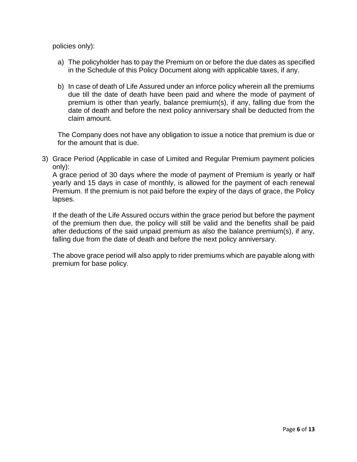policies only):

- a) The policyholder has to pay the Premium on or before the due dates as specified in the Schedule of this Policy Document along with applicable taxes, if any.
- b) In case of death of Life Assured under an inforce policy wherein all the premiums due till the date of death have been paid and where the mode of payment of premium is other than yearly, balance premium(s), if any, falling due from the date of death and before the next policy anniversary shall be deducted from the claim amount.

The Company does not have any obligation to issue a notice that premium is due or for the amount that is due.

3) Grace Period (Applicable in case of Limited and Regular Premium payment policies only):

A grace period of 30 days where the mode of payment of Premium is yearly or half yearly and 15 days in case of monthly, is allowed for the payment of each renewal Premium. If the premium is not paid before the expiry of the days of grace, the Policy lapses.

If the death of the Life Assured occurs within the grace period but before the payment of the premium then due, the policy will still be valid and the benefits shall be paid after deductions of the said unpaid premium as also the balance premium(s), if any, falling due from the date of death and before the next policy anniversary.

The above grace period will also apply to rider premiums which are payable along with premium for base policy.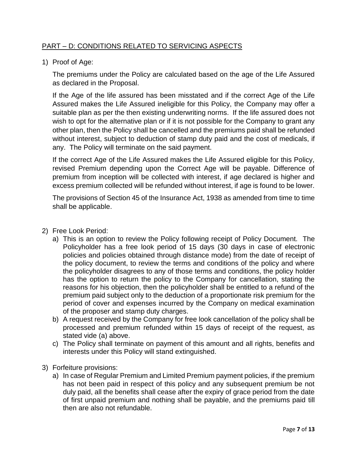## PART – D: CONDITIONS RELATED TO SERVICING ASPECTS

1) Proof of Age:

The premiums under the Policy are calculated based on the age of the Life Assured as declared in the Proposal.

If the Age of the life assured has been misstated and if the correct Age of the Life Assured makes the Life Assured ineligible for this Policy, the Company may offer a suitable plan as per the then existing underwriting norms. If the life assured does not wish to opt for the alternative plan or if it is not possible for the Company to grant any other plan, then the Policy shall be cancelled and the premiums paid shall be refunded without interest, subject to deduction of stamp duty paid and the cost of medicals, if any. The Policy will terminate on the said payment.

If the correct Age of the Life Assured makes the Life Assured eligible for this Policy, revised Premium depending upon the Correct Age will be payable. Difference of premium from inception will be collected with interest, if age declared is higher and excess premium collected will be refunded without interest, if age is found to be lower.

The provisions of Section 45 of the Insurance Act, 1938 as amended from time to time shall be applicable.

- 2) Free Look Period:
	- a) This is an option to review the Policy following receipt of Policy Document. The Policyholder has a free look period of 15 days (30 days in case of electronic policies and policies obtained through distance mode) from the date of receipt of the policy document, to review the terms and conditions of the policy and where the policyholder disagrees to any of those terms and conditions, the policy holder has the option to return the policy to the Company for cancellation, stating the reasons for his objection, then the policyholder shall be entitled to a refund of the premium paid subject only to the deduction of a proportionate risk premium for the period of cover and expenses incurred by the Company on medical examination of the proposer and stamp duty charges.
	- b) A request received by the Company for free look cancellation of the policy shall be processed and premium refunded within 15 days of receipt of the request, as stated vide (a) above.
	- c) The Policy shall terminate on payment of this amount and all rights, benefits and interests under this Policy will stand extinguished.
- 3) Forfeiture provisions:
	- a) In case of Regular Premium and Limited Premium payment policies, if the premium has not been paid in respect of this policy and any subsequent premium be not duly paid, all the benefits shall cease after the expiry of grace period from the date of first unpaid premium and nothing shall be payable, and the premiums paid till then are also not refundable.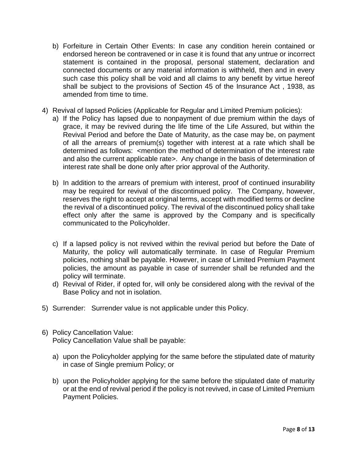- b) Forfeiture in Certain Other Events: In case any condition herein contained or endorsed hereon be contravened or in case it is found that any untrue or incorrect statement is contained in the proposal, personal statement, declaration and connected documents or any material information is withheld, then and in every such case this policy shall be void and all claims to any benefit by virtue hereof shall be subject to the provisions of Section 45 of the Insurance Act , 1938, as amended from time to time.
- 4) Revival of lapsed Policies (Applicable for Regular and Limited Premium policies):
	- a) If the Policy has lapsed due to nonpayment of due premium within the days of grace, it may be revived during the life time of the Life Assured, but within the Revival Period and before the Date of Maturity, as the case may be, on payment of all the arrears of premium(s) together with interest at a rate which shall be determined as follows: <mention the method of determination of the interest rate and also the current applicable rate>. Any change in the basis of determination of interest rate shall be done only after prior approval of the Authority.
	- b) In addition to the arrears of premium with interest, proof of continued insurability may be required for revival of the discontinued policy. The Company, however, reserves the right to accept at original terms, accept with modified terms or decline the revival of a discontinued policy. The revival of the discontinued policy shall take effect only after the same is approved by the Company and is specifically communicated to the Policyholder.
	- c) If a lapsed policy is not revived within the revival period but before the Date of Maturity, the policy will automatically terminate. In case of Regular Premium policies, nothing shall be payable. However, in case of Limited Premium Payment policies, the amount as payable in case of surrender shall be refunded and the policy will terminate.
	- d) Revival of Rider, if opted for, will only be considered along with the revival of the Base Policy and not in isolation.
- 5) Surrender: Surrender value is not applicable under this Policy.
- 6) Policy Cancellation Value: Policy Cancellation Value shall be payable:
	- a) upon the Policyholder applying for the same before the stipulated date of maturity in case of Single premium Policy; or
	- b) upon the Policyholder applying for the same before the stipulated date of maturity or at the end of revival period if the policy is not revived, in case of Limited Premium Payment Policies.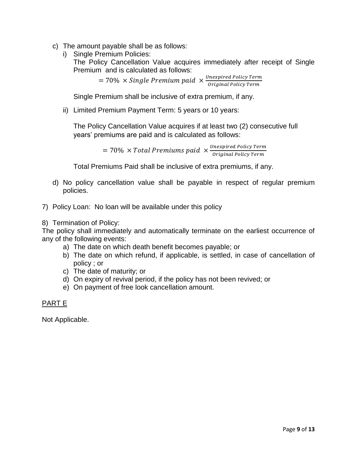- c) The amount payable shall be as follows:
	- i) Single Premium Policies:

The Policy Cancellation Value acquires immediately after receipt of Single Premium and is calculated as follows:

> $= 70\% \times Single\ Premium\ paid \times \frac{Unexpired\ Policy\ Term}{Omin(100\ % \times 100\%)}$ Original Policy Term

Single Premium shall be inclusive of extra premium, if any.

ii) Limited Premium Payment Term: 5 years or 10 years:

The Policy Cancellation Value acquires if at least two (2) consecutive full years' premiums are paid and is calculated as follows:

> $= 70\% \times Total$  Premiums paid  $\times \frac{Unexpired}{{\rm{Original}}\;P}{\rm{D}}$ Original Policy Term

Total Premiums Paid shall be inclusive of extra premiums, if any.

- d) No policy cancellation value shall be payable in respect of regular premium policies.
- 7) Policy Loan: No loan will be available under this policy
- 8) Termination of Policy:

The policy shall immediately and automatically terminate on the earliest occurrence of any of the following events:

- a) The date on which death benefit becomes payable; or
- b) The date on which refund, if applicable, is settled, in case of cancellation of policy ; or
- c) The date of maturity; or
- d) On expiry of revival period, if the policy has not been revived; or
- e) On payment of free look cancellation amount.

### PART E

Not Applicable.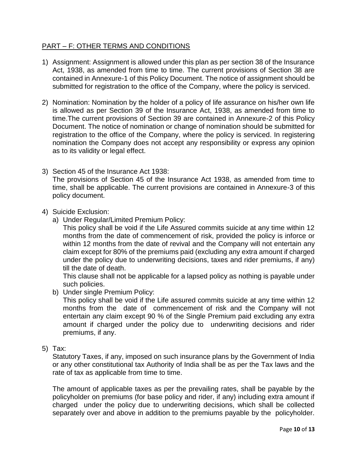### PART – F: OTHER TERMS AND CONDITIONS

- 1) Assignment: Assignment is allowed under this plan as per section 38 of the Insurance Act, 1938, as amended from time to time. The current provisions of Section 38 are contained in Annexure-1 of this Policy Document. The notice of assignment should be submitted for registration to the office of the Company, where the policy is serviced.
- 2) Nomination: Nomination by the holder of a policy of life assurance on his/her own life is allowed as per Section 39 of the Insurance Act, 1938, as amended from time to time.The current provisions of Section 39 are contained in Annexure-2 of this Policy Document. The notice of nomination or change of nomination should be submitted for registration to the office of the Company, where the policy is serviced. In registering nomination the Company does not accept any responsibility or express any opinion as to its validity or legal effect.
- 3) Section 45 of the Insurance Act 1938: The provisions of Section 45 of the Insurance Act 1938, as amended from time to time, shall be applicable. The current provisions are contained in Annexure-3 of this policy document.

#### 4) Suicide Exclusion:

a) Under Regular/Limited Premium Policy:

This policy shall be void if the Life Assured commits suicide at any time within 12 months from the date of commencement of risk, provided the policy is inforce or within 12 months from the date of revival and the Company will not entertain any claim except for 80% of the premiums paid (excluding any extra amount if charged under the policy due to underwriting decisions, taxes and rider premiums, if any) till the date of death.

This clause shall not be applicable for a lapsed policy as nothing is payable under such policies.

b) Under single Premium Policy:

This policy shall be void if the Life assured commits suicide at any time within 12 months from the date of commencement of risk and the Company will not entertain any claim except 90 % of the Single Premium paid excluding any extra amount if charged under the policy due to underwriting decisions and rider premiums, if any.

5) Tax:

Statutory Taxes, if any, imposed on such insurance plans by the Government of India or any other constitutional tax Authority of India shall be as per the Tax laws and the rate of tax as applicable from time to time.

The amount of applicable taxes as per the prevailing rates, shall be payable by the policyholder on premiums (for base policy and rider, if any) including extra amount if charged under the policy due to underwriting decisions, which shall be collected separately over and above in addition to the premiums payable by the policyholder.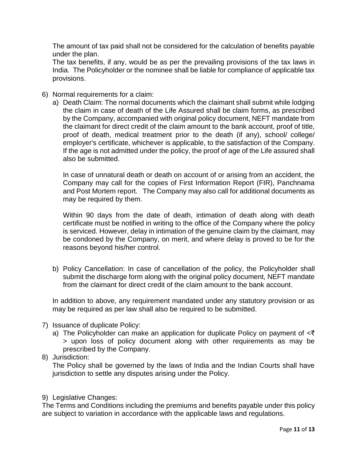The amount of tax paid shall not be considered for the calculation of benefits payable under the plan.

The tax benefits, if any, would be as per the prevailing provisions of the tax laws in India. The Policyholder or the nominee shall be liable for compliance of applicable tax provisions.

- 6) Normal requirements for a claim:
	- a) Death Claim: The normal documents which the claimant shall submit while lodging the claim in case of death of the Life Assured shall be claim forms, as prescribed by the Company, accompanied with original policy document, NEFT mandate from the claimant for direct credit of the claim amount to the bank account, proof of title, proof of death, medical treatment prior to the death (if any), school/ college/ employer's certificate, whichever is applicable, to the satisfaction of the Company. If the age is not admitted under the policy, the proof of age of the Life assured shall also be submitted.

In case of unnatural death or death on account of or arising from an accident, the Company may call for the copies of First Information Report (FIR), Panchnama and Post Mortem report. The Company may also call for additional documents as may be required by them.

Within 90 days from the date of death, intimation of death along with death certificate must be notified in writing to the office of the Company where the policy is serviced. However, delay in intimation of the genuine claim by the claimant, may be condoned by the Company, on merit, and where delay is proved to be for the reasons beyond his/her control.

b) Policy Cancellation: In case of cancellation of the policy, the Policyholder shall submit the discharge form along with the original policy document, NEFT mandate from the claimant for direct credit of the claim amount to the bank account.

In addition to above, any requirement mandated under any statutory provision or as may be required as per law shall also be required to be submitted.

- 7) Issuance of duplicate Policy:
	- a) The Policyholder can make an application for duplicate Policy on payment of  $\leq \bar{\leq}$ > upon loss of policy document along with other requirements as may be prescribed by the Company.
- 8) Jurisdiction:

The Policy shall be governed by the laws of India and the Indian Courts shall have jurisdiction to settle any disputes arising under the Policy.

9) Legislative Changes:

The Terms and Conditions including the premiums and benefits payable under this policy are subject to variation in accordance with the applicable laws and regulations.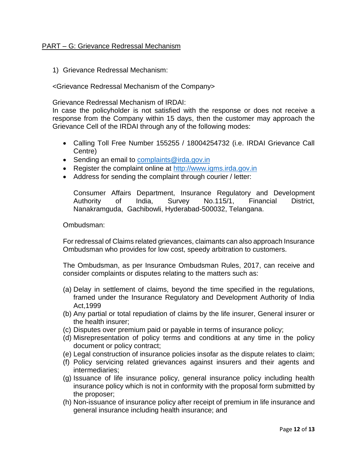### PART – G: Grievance Redressal Mechanism

1) Grievance Redressal Mechanism:

<Grievance Redressal Mechanism of the Company>

Grievance Redressal Mechanism of IRDAI:

In case the policyholder is not satisfied with the response or does not receive a response from the Company within 15 days, then the customer may approach the Grievance Cell of the IRDAI through any of the following modes:

- Calling Toll Free Number 155255 / 18004254732 (i.e. IRDAI Grievance Call Centre)
- Sending an email to [complaints@irda.gov.in](mailto:complaints@irda.gov.in)
- Register the complaint online at [http://www.igms.irda.gov.in](http://www.igms.irda.gov.in/)
- Address for sending the complaint through courier / letter:

Consumer Affairs Department, Insurance Regulatory and Development Authority of India, Survey No.115/1, Financial District, Nanakramguda, Gachibowli, Hyderabad-500032, Telangana.

Ombudsman:

For redressal of Claims related grievances, claimants can also approach Insurance Ombudsman who provides for low cost, speedy arbitration to customers.

The Ombudsman, as per Insurance Ombudsman Rules, 2017, can receive and consider complaints or disputes relating to the matters such as:

- (a) Delay in settlement of claims, beyond the time specified in the regulations, framed under the Insurance Regulatory and Development Authority of India Act,1999
- (b) Any partial or total repudiation of claims by the life insurer, General insurer or the health insurer;
- (c) Disputes over premium paid or payable in terms of insurance policy;
- (d) Misrepresentation of policy terms and conditions at any time in the policy document or policy contract;
- (e) Legal construction of insurance policies insofar as the dispute relates to claim;
- (f) Policy servicing related grievances against insurers and their agents and intermediaries;
- (g) Issuance of life insurance policy, general insurance policy including health insurance policy which is not in conformity with the proposal form submitted by the proposer;
- (h) Non-issuance of insurance policy after receipt of premium in life insurance and general insurance including health insurance; and